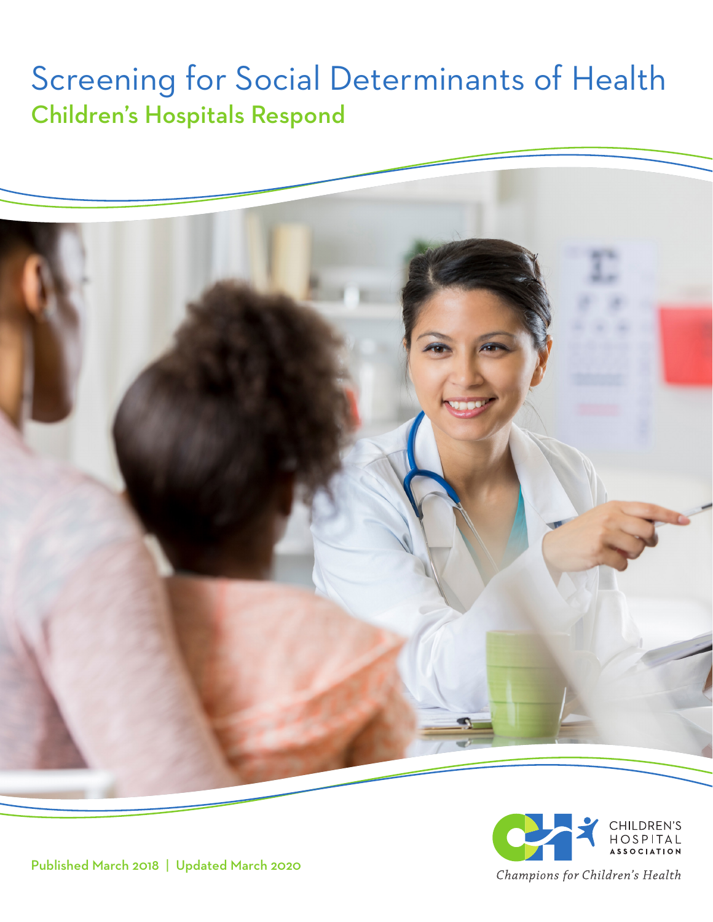# Screening for Social Determinants of Health Children's Hospitals Respond





Published March 2018 | Updated March 2020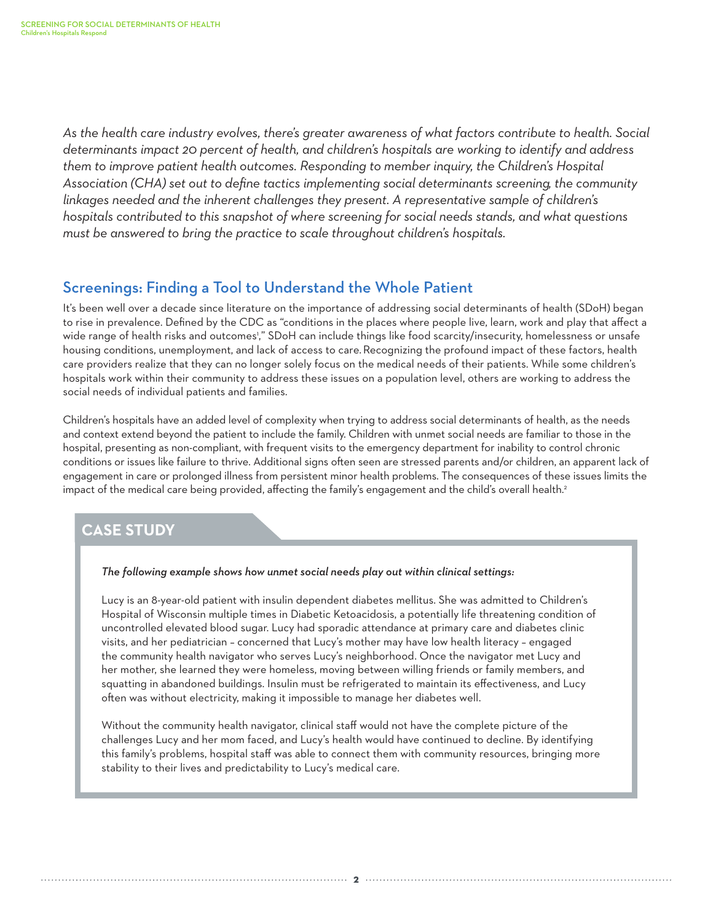*As the health care industry evolves, there's greater awareness of what factors contribute to health. Social determinants impact 20 percent of health, and children's hospitals are working to identify and address them to improve patient health outcomes. Responding to member inquiry, the Children's Hospital Association (CHA) set out to define tactics implementing social determinants screening, the community linkages needed and the inherent challenges they present. A representative sample of children's hospitals contributed to this snapshot of where screening for social needs stands, and what questions must be answered to bring the practice to scale throughout children's hospitals.* 

## Screenings: Finding a Tool to Understand the Whole Patient

It's been well over a decade since literature on the importance of addressing social determinants of health (SDoH) began to rise in prevalence. Defined by the CDC as "conditions in the places where people live, learn, work and play that affect a wide range of health risks and outcomes'," SDoH can include things like food scarcity/insecurity, homelessness or unsafe housing conditions, unemployment, and lack of access to care.Recognizing the profound impact of these factors, health care providers realize that they can no longer solely focus on the medical needs of their patients. While some children's hospitals work within their community to address these issues on a population level, others are working to address the social needs of individual patients and families.

Children's hospitals have an added level of complexity when trying to address social determinants of health, as the needs and context extend beyond the patient to include the family. Children with unmet social needs are familiar to those in the hospital, presenting as non-compliant, with frequent visits to the emergency department for inability to control chronic conditions or issues like failure to thrive. Additional signs often seen are stressed parents and/or children, an apparent lack of engagement in care or prolonged illness from persistent minor health problems. The consequences of these issues limits the impact of the medical care being provided, affecting the family's engagement and the child's overall health.<sup>2</sup>

# **CASE STUDY**

#### *The following example shows how unmet social needs play out within clinical settings:*

Lucy is an 8-year-old patient with insulin dependent diabetes mellitus. She was admitted to Children's Hospital of Wisconsin multiple times in Diabetic Ketoacidosis, a potentially life threatening condition of uncontrolled elevated blood sugar. Lucy had sporadic attendance at primary care and diabetes clinic visits, and her pediatrician – concerned that Lucy's mother may have low health literacy – engaged the community health navigator who serves Lucy's neighborhood. Once the navigator met Lucy and her mother, she learned they were homeless, moving between willing friends or family members, and squatting in abandoned buildings. Insulin must be refrigerated to maintain its effectiveness, and Lucy often was without electricity, making it impossible to manage her diabetes well.

Without the community health navigator, clinical staff would not have the complete picture of the challenges Lucy and her mom faced, and Lucy's health would have continued to decline. By identifying this family's problems, hospital staff was able to connect them with community resources, bringing more stability to their lives and predictability to Lucy's medical care.

**2**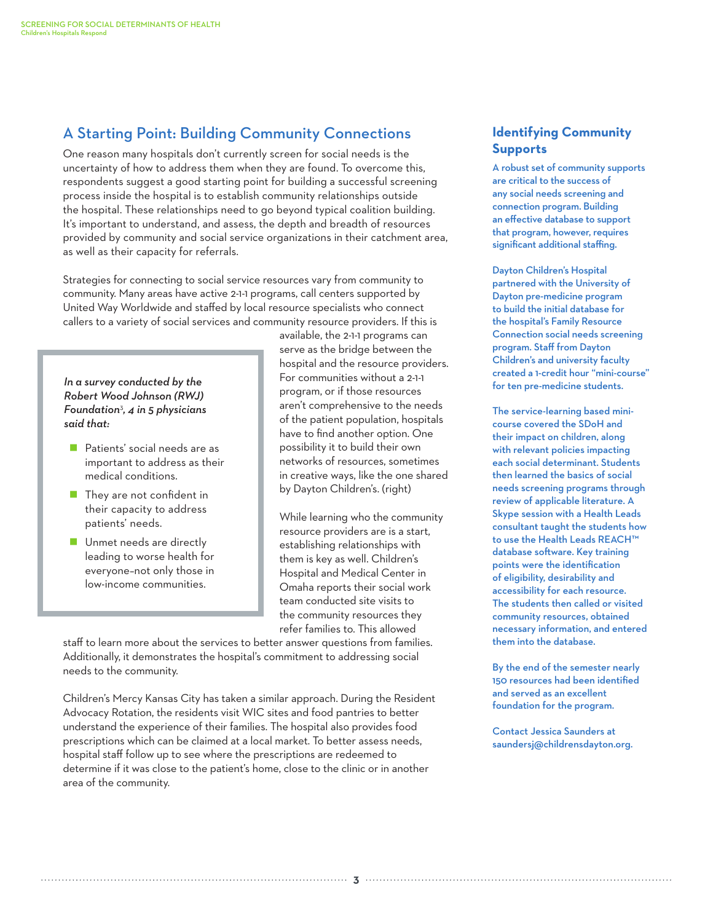## A Starting Point: Building Community Connections

One reason many hospitals don't currently screen for social needs is the uncertainty of how to address them when they are found. To overcome this, respondents suggest a good starting point for building a successful screening process inside the hospital is to establish community relationships outside the hospital. These relationships need to go beyond typical coalition building. It's important to understand, and assess, the depth and breadth of resources provided by community and social service organizations in their catchment area, as well as their capacity for referrals.

Strategies for connecting to social service resources vary from community to community. Many areas have active 2-1-1 programs, call centers supported by United Way Worldwide and staffed by local resource specialists who connect callers to a variety of social services and community resource providers. If this is

*In a survey conducted by the Robert Wood Johnson (RWJ) Foundation*<sup>3</sup> *, 4 in 5 physicians said that:* 

- **Patients' social needs are as** important to address as their medical conditions.
- **They are not confident in** their capacity to address patients' needs.
- **Unmet needs are directly** leading to worse health for everyone–not only those in low-income communities.

available, the 2-1-1 programs can serve as the bridge between the hospital and the resource providers. For communities without a 2-1-1 program, or if those resources aren't comprehensive to the needs of the patient population, hospitals have to find another option. One possibility it to build their own networks of resources, sometimes in creative ways, like the one shared by Dayton Children's. (right)

While learning who the community resource providers are is a start, establishing relationships with them is key as well. Children's Hospital and Medical Center in Omaha reports their social work team conducted site visits to the community resources they refer families to. This allowed

staff to learn more about the services to better answer questions from families. Additionally, it demonstrates the hospital's commitment to addressing social needs to the community.

Children's Mercy Kansas City has taken a similar approach. During the Resident Advocacy Rotation, the residents visit WIC sites and food pantries to better understand the experience of their families. The hospital also provides food prescriptions which can be claimed at a local market. To better assess needs, hospital staff follow up to see where the prescriptions are redeemed to determine if it was close to the patient's home, close to the clinic or in another area of the community.

### **Identifying Community Supports**

A robust set of community supports are critical to the success of any social needs screening and connection program. Building an effective database to support that program, however, requires significant additional staffing.

Dayton Children's Hospital partnered with the University of Dayton pre-medicine program to build the initial database for the hospital's Family Resource Connection social needs screening program. Staff from Dayton Children's and university faculty created a 1-credit hour "mini-course" for ten pre-medicine students.

The service-learning based minicourse covered the SDoH and their impact on children, along with relevant policies impacting each social determinant. Students then learned the basics of social needs screening programs through review of applicable literature. A Skype session with a Health Leads consultant taught the students how to use the Health Leads REACH™ database software. Key training points were the identification of eligibility, desirability and accessibility for each resource. The students then called or visited community resources, obtained necessary information, and entered them into the database.

By the end of the semester nearly 150 resources had been identified and served as an excellent foundation for the program.

Contact Jessica Saunders at saundersj@childrensdayton.org.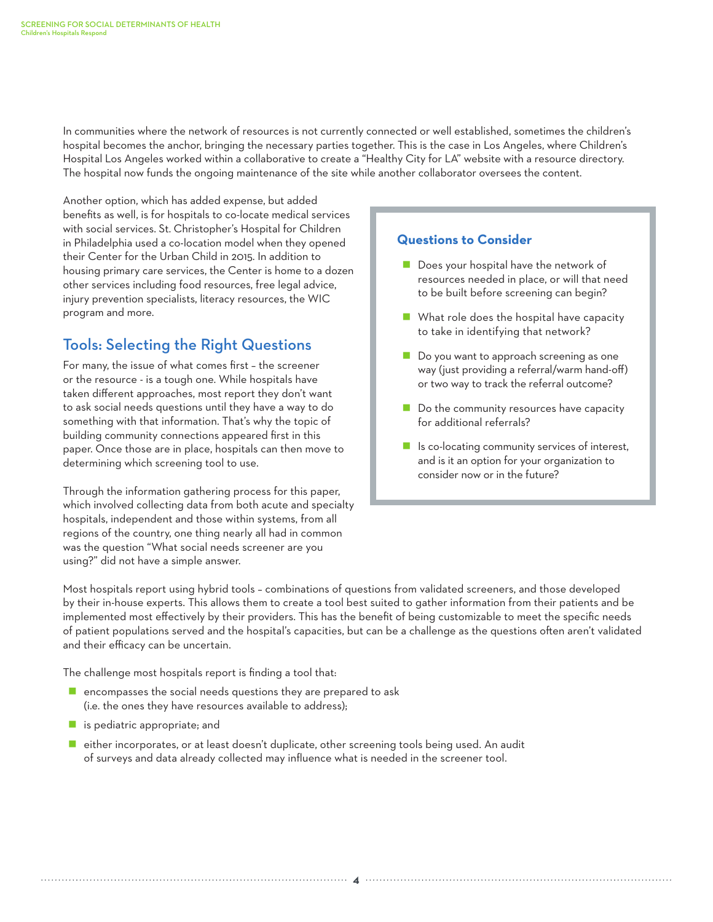In communities where the network of resources is not currently connected or well established, sometimes the children's hospital becomes the anchor, bringing the necessary parties together. This is the case in Los Angeles, where Children's Hospital Los Angeles worked within a collaborative to create a "Healthy City for LA" website with a resource directory. The hospital now funds the ongoing maintenance of the site while another collaborator oversees the content.

Another option, which has added expense, but added benefits as well, is for hospitals to co-locate medical services with social services. St. Christopher's Hospital for Children in Philadelphia used a co-location model when they opened their Center for the Urban Child in 2015. In addition to housing primary care services, the Center is home to a dozen other services including food resources, free legal advice, injury prevention specialists, literacy resources, the WIC program and more.

# Tools: Selecting the Right Questions

For many, the issue of what comes first – the screener or the resource - is a tough one. While hospitals have taken different approaches, most report they don't want to ask social needs questions until they have a way to do something with that information. That's why the topic of building community connections appeared first in this paper. Once those are in place, hospitals can then move to determining which screening tool to use.

Through the information gathering process for this paper, which involved collecting data from both acute and specialty hospitals, independent and those within systems, from all regions of the country, one thing nearly all had in common was the question "What social needs screener are you using?" did not have a simple answer.

#### **Questions to Consider**

- Does your hospital have the network of resources needed in place, or will that need to be built before screening can begin?
- What role does the hospital have capacity to take in identifying that network?
- Do you want to approach screening as one way (just providing a referral/warm hand-off) or two way to track the referral outcome?
- Do the community resources have capacity for additional referrals?
- $\blacksquare$  Is co-locating community services of interest, and is it an option for your organization to consider now or in the future?

Most hospitals report using hybrid tools – combinations of questions from validated screeners, and those developed by their in-house experts. This allows them to create a tool best suited to gather information from their patients and be implemented most effectively by their providers. This has the benefit of being customizable to meet the specific needs of patient populations served and the hospital's capacities, but can be a challenge as the questions often aren't validated and their efficacy can be uncertain.

The challenge most hospitals report is finding a tool that:

- $\blacksquare$  encompasses the social needs questions they are prepared to ask (i.e. the ones they have resources available to address);
- **E** is pediatric appropriate; and
- either incorporates, or at least doesn't duplicate, other screening tools being used. An audit of surveys and data already collected may influence what is needed in the screener tool.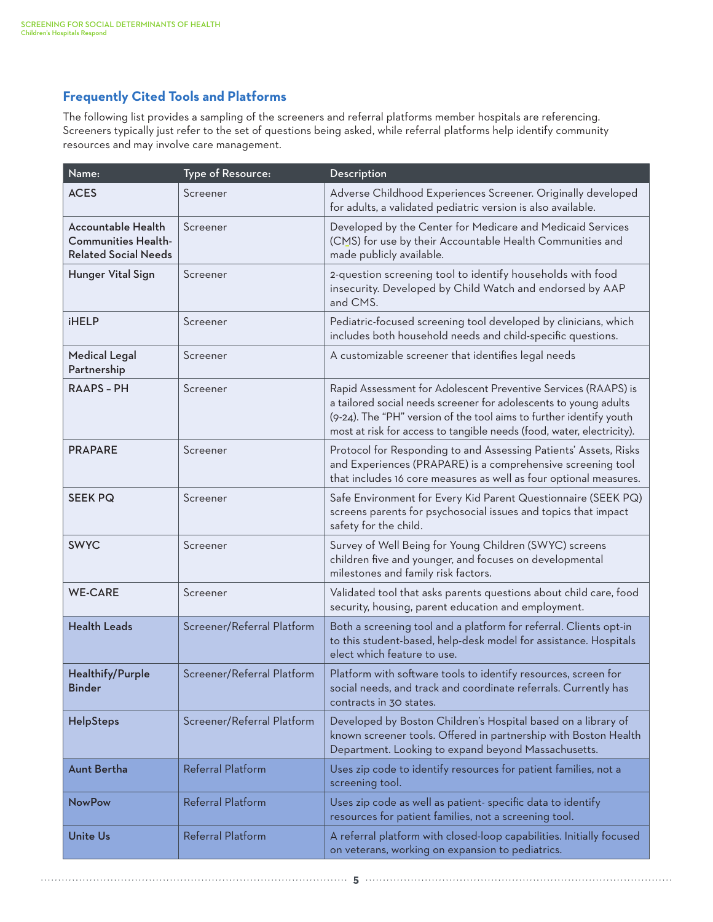### **Frequently Cited Tools and Platforms**

The following list provides a sampling of the screeners and referral platforms member hospitals are referencing. Screeners typically just refer to the set of questions being asked, while referral platforms help identify community resources and may involve care management.

| Name:                                                                                  | Type of Resource:          | Description                                                                                                                                                                                                                                                                        |
|----------------------------------------------------------------------------------------|----------------------------|------------------------------------------------------------------------------------------------------------------------------------------------------------------------------------------------------------------------------------------------------------------------------------|
| <b>ACES</b>                                                                            | Screener                   | Adverse Childhood Experiences Screener. Originally developed<br>for adults, a validated pediatric version is also available.                                                                                                                                                       |
| <b>Accountable Health</b><br><b>Communities Health-</b><br><b>Related Social Needs</b> | Screener                   | Developed by the Center for Medicare and Medicaid Services<br>(CMS) for use by their Accountable Health Communities and<br>made publicly available.                                                                                                                                |
| Hunger Vital Sign                                                                      | Screener                   | 2-question screening tool to identify households with food<br>insecurity. Developed by Child Watch and endorsed by AAP<br>and CMS.                                                                                                                                                 |
| <b>iHELP</b>                                                                           | Screener                   | Pediatric-focused screening tool developed by clinicians, which<br>includes both household needs and child-specific questions.                                                                                                                                                     |
| <b>Medical Legal</b><br>Partnership                                                    | Screener                   | A customizable screener that identifies legal needs                                                                                                                                                                                                                                |
| <b>RAAPS - PH</b>                                                                      | Screener                   | Rapid Assessment for Adolescent Preventive Services (RAAPS) is<br>a tailored social needs screener for adolescents to young adults<br>(9-24). The "PH" version of the tool aims to further identify youth<br>most at risk for access to tangible needs (food, water, electricity). |
| <b>PRAPARE</b>                                                                         | Screener                   | Protocol for Responding to and Assessing Patients' Assets, Risks<br>and Experiences (PRAPARE) is a comprehensive screening tool<br>that includes 16 core measures as well as four optional measures.                                                                               |
| <b>SEEK PQ</b>                                                                         | Screener                   | Safe Environment for Every Kid Parent Questionnaire (SEEK PQ)<br>screens parents for psychosocial issues and topics that impact<br>safety for the child.                                                                                                                           |
| <b>SWYC</b>                                                                            | Screener                   | Survey of Well Being for Young Children (SWYC) screens<br>children five and younger, and focuses on developmental<br>milestones and family risk factors.                                                                                                                           |
| <b>WE-CARE</b>                                                                         | Screener                   | Validated tool that asks parents questions about child care, food<br>security, housing, parent education and employment.                                                                                                                                                           |
| <b>Health Leads</b>                                                                    | Screener/Referral Platform | Both a screening tool and a platform for referral. Clients opt-in<br>to this student-based, help-desk model for assistance. Hospitals<br>elect which feature to use.                                                                                                               |
| Healthify/Purple<br><b>Binder</b>                                                      | Screener/Referral Platform | Platform with software tools to identify resources, screen for<br>social needs, and track and coordinate referrals. Currently has<br>contracts in 30 states.                                                                                                                       |
| HelpSteps                                                                              | Screener/Referral Platform | Developed by Boston Children's Hospital based on a library of<br>known screener tools. Offered in partnership with Boston Health<br>Department. Looking to expand beyond Massachusetts.                                                                                            |
| <b>Aunt Bertha</b>                                                                     | Referral Platform          | Uses zip code to identify resources for patient families, not a<br>screening tool.                                                                                                                                                                                                 |
| <b>NowPow</b>                                                                          | Referral Platform          | Uses zip code as well as patient- specific data to identify<br>resources for patient families, not a screening tool.                                                                                                                                                               |
| Unite Us                                                                               | Referral Platform          | A referral platform with closed-loop capabilities. Initially focused<br>on veterans, working on expansion to pediatrics.                                                                                                                                                           |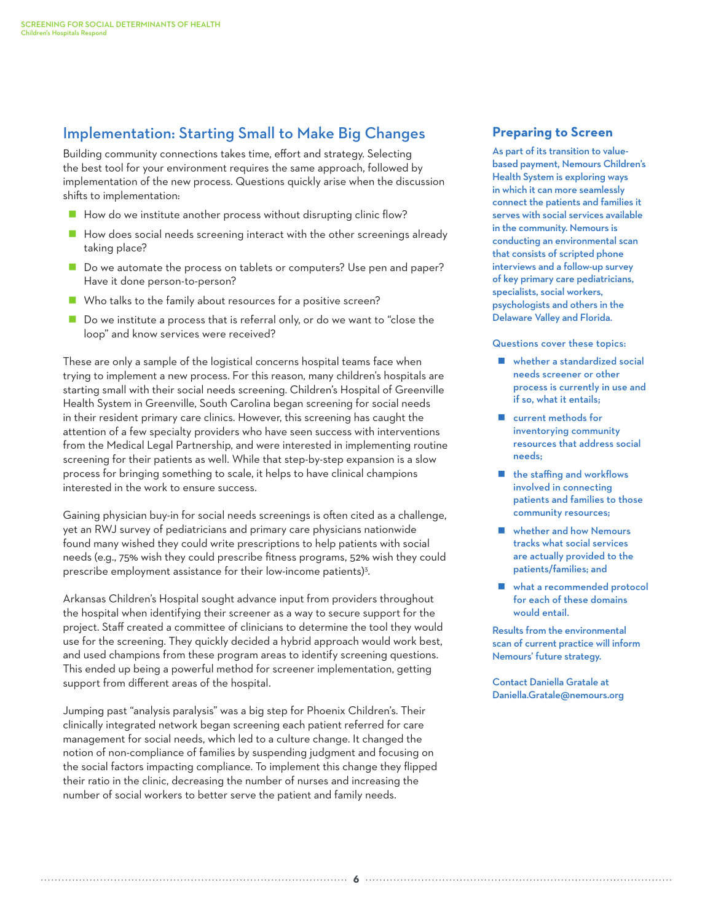## Implementation: Starting Small to Make Big Changes

Building community connections takes time, effort and strategy. Selecting the best tool for your environment requires the same approach, followed by implementation of the new process. Questions quickly arise when the discussion shifts to implementation:

- How do we institute another process without disrupting clinic flow?
- $\blacksquare$  How does social needs screening interact with the other screenings already taking place?
- Do we automate the process on tablets or computers? Use pen and paper? Have it done person-to-person?
- Who talks to the family about resources for a positive screen?
- Do we institute a process that is referral only, or do we want to "close the loop" and know services were received?

These are only a sample of the logistical concerns hospital teams face when trying to implement a new process. For this reason, many children's hospitals are starting small with their social needs screening. Children's Hospital of Greenville Health System in Greenville, South Carolina began screening for social needs in their resident primary care clinics. However, this screening has caught the attention of a few specialty providers who have seen success with interventions from the Medical Legal Partnership, and were interested in implementing routine screening for their patients as well. While that step-by-step expansion is a slow process for bringing something to scale, it helps to have clinical champions interested in the work to ensure success.

Gaining physician buy-in for social needs screenings is often cited as a challenge, yet an RWJ survey of pediatricians and primary care physicians nationwide found many wished they could write prescriptions to help patients with social needs (e.g., 75% wish they could prescribe fitness programs, 52% wish they could prescribe employment assistance for their low-income patients)<sup>3</sup>.

Arkansas Children's Hospital sought advance input from providers throughout the hospital when identifying their screener as a way to secure support for the project. Staff created a committee of clinicians to determine the tool they would use for the screening. They quickly decided a hybrid approach would work best, and used champions from these program areas to identify screening questions. This ended up being a powerful method for screener implementation, getting support from different areas of the hospital.

Jumping past "analysis paralysis" was a big step for Phoenix Children's. Their clinically integrated network began screening each patient referred for care management for social needs, which led to a culture change. It changed the notion of non-compliance of families by suspending judgment and focusing on the social factors impacting compliance. To implement this change they flipped their ratio in the clinic, decreasing the number of nurses and increasing the number of social workers to better serve the patient and family needs.

#### **Preparing to Screen**

As part of its transition to valuebased payment, Nemours Children's Health System is exploring ways in which it can more seamlessly connect the patients and families it serves with social services available in the community. Nemours is conducting an environmental scan that consists of scripted phone interviews and a follow-up survey of key primary care pediatricians, specialists, social workers, psychologists and others in the Delaware Valley and Florida.

Questions cover these topics:

- whether a standardized social needs screener or other process is currently in use and if so, what it entails;
- **E** current methods for inventorying community resources that address social needs;
- the staffing and workflows involved in connecting patients and families to those community resources;
- **Now Member and how Nemours** tracks what social services are actually provided to the patients/families; and
- what a recommended protocol for each of these domains would entail.

Results from the environmental scan of current practice will inform Nemours' future strategy.

Contact Daniella Gratale at Daniella.Gratale@nemours.org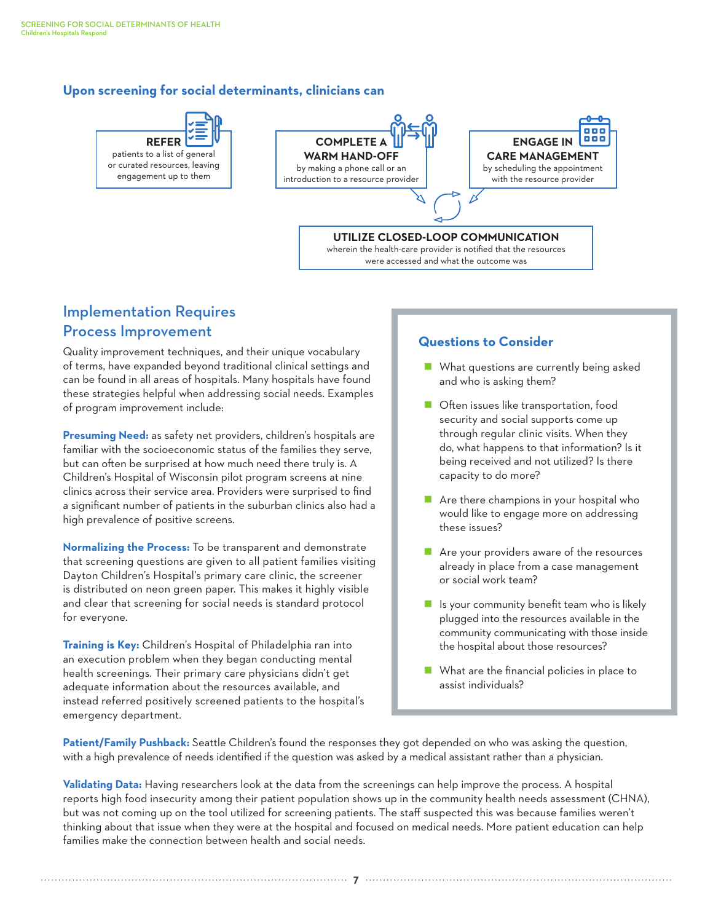#### **Upon screening for social determinants, clinicians can**



**COMPLETE WARM HAND-OFF**  by making a phone call or an introduction to a resource provider



#### **UTILIZE CLOSED-LOOP COMMUNICATION**

wherein the health-care provider is notified that the resources were accessed and what the outcome was

# Implementation Requires Process Improvement

Quality improvement techniques, and their unique vocabulary of terms, have expanded beyond traditional clinical settings and can be found in all areas of hospitals. Many hospitals have found these strategies helpful when addressing social needs. Examples of program improvement include:

**Presuming Need:** as safety net providers, children's hospitals are familiar with the socioeconomic status of the families they serve, but can often be surprised at how much need there truly is. A Children's Hospital of Wisconsin pilot program screens at nine clinics across their service area. Providers were surprised to find a significant number of patients in the suburban clinics also had a high prevalence of positive screens.

**Normalizing the Process:** To be transparent and demonstrate that screening questions are given to all patient families visiting Dayton Children's Hospital's primary care clinic, the screener is distributed on neon green paper. This makes it highly visible and clear that screening for social needs is standard protocol for everyone.

**Training is Key:** Children's Hospital of Philadelphia ran into an execution problem when they began conducting mental health screenings. Their primary care physicians didn't get adequate information about the resources available, and instead referred positively screened patients to the hospital's emergency department.

#### **Questions to Consider**

- **No. 19 Member 11 What questions are currently being asked** and who is asking them?
- **Often issues like transportation, food** security and social supports come up through regular clinic visits. When they do, what happens to that information? Is it being received and not utilized? Is there capacity to do more?
- **Are there champions in your hospital who** would like to engage more on addressing these issues?
- Are your providers aware of the resources already in place from a case management or social work team?
- $\blacksquare$  Is your community benefit team who is likely plugged into the resources available in the community communicating with those inside the hospital about those resources?
- What are the financial policies in place to assist individuals?

**Patient/Family Pushback:** Seattle Children's found the responses they got depended on who was asking the question, with a high prevalence of needs identified if the question was asked by a medical assistant rather than a physician.

**Validating Data:** Having researchers look at the data from the screenings can help improve the process. A hospital reports high food insecurity among their patient population shows up in the community health needs assessment (CHNA), but was not coming up on the tool utilized for screening patients. The staff suspected this was because families weren't thinking about that issue when they were at the hospital and focused on medical needs. More patient education can help families make the connection between health and social needs.